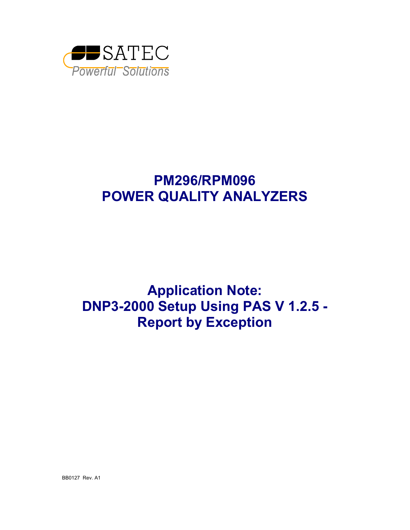

# **PM296/RPM096 POWER QUALITY ANALYZERS**

**Application Note: DNP3-2000 Setup Using PAS V 1.2.5 - Report by Exception** 

BB0127 Rev. A1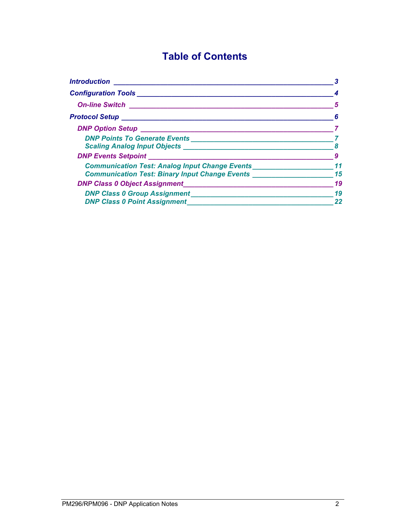# **Table of Contents**

| <b>Introduction</b>                                                                                                                                                                                                                |    |
|------------------------------------------------------------------------------------------------------------------------------------------------------------------------------------------------------------------------------------|----|
| <b>Configuration Tools</b>                                                                                                                                                                                                         |    |
| <b>On-line Switch</b>                                                                                                                                                                                                              |    |
| Protocol Setup _________________________________                                                                                                                                                                                   | 6  |
|                                                                                                                                                                                                                                    |    |
| DNP Points To Generate Events <b>Exercises Exercises Exercises</b>                                                                                                                                                                 |    |
| <b>Scaling Analog Input Objects</b>                                                                                                                                                                                                |    |
|                                                                                                                                                                                                                                    |    |
| <b>Communication Test: Analog Input Change Events</b>                                                                                                                                                                              |    |
| <b>Communication Test: Binary Input Change Events</b>                                                                                                                                                                              | 15 |
| <b>DNP Class 0 Object Assignment</b>                                                                                                                                                                                               | 19 |
| <b>DNP Class 0 Group Assignment State State State State State State State State State State State State State State State State State State State State State State State State State State State State State State State Stat</b> | 19 |
| <b>DNP Class 0 Point Assignment</b>                                                                                                                                                                                                | 22 |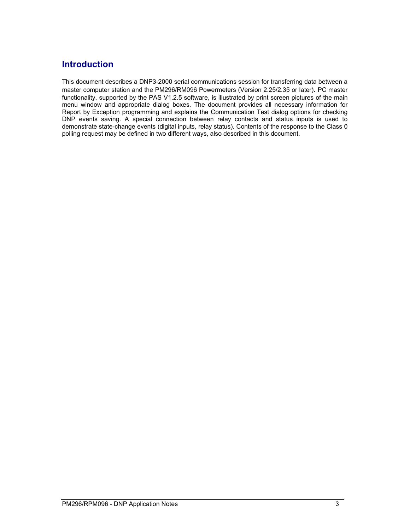### <span id="page-2-0"></span>**Introduction**

This document describes a DNP3-2000 serial communications session for transferring data between a master computer station and the PM296/RM096 Powermeters (Version 2.25/2.35 or later). PC master functionality, supported by the PAS V1.2.5 software, is illustrated by print screen pictures of the main menu window and appropriate dialog boxes. The document provides all necessary information for Report by Exception programming and explains the Communication Test dialog options for checking DNP events saving. A special connection between relay contacts and status inputs is used to demonstrate state-change events (digital inputs, relay status). Contents of the response to the Class 0 polling request may be defined in two different ways, also described in this document.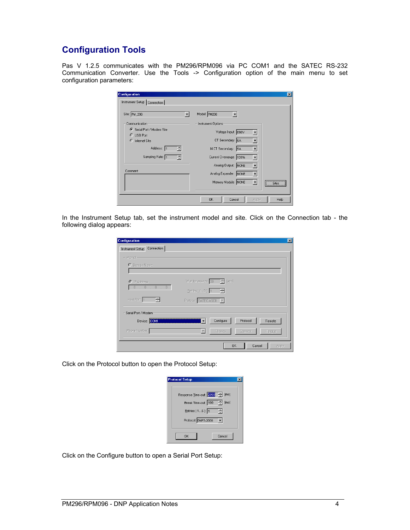## <span id="page-3-0"></span>**Configuration Tools**

Pas V 1.2.5 communicates with the PM296/RPM096 via PC COM1 and the SATEC RS-232 Communication Converter. Use the Tools -> Configuration option of the main menu to set configuration parameters:

| <b>Configuration</b><br>Instrument Setup   Connection | $\vert x \vert$                                        |
|-------------------------------------------------------|--------------------------------------------------------|
| Site: PM_296                                          | Model: PM296                                           |
| Communication                                         | Instrument Options                                     |
| Serial Port / Modem Site<br>$C$ USB Port              | Voltage Input: 690V                                    |
| C Internet Site                                       | CT Secondary: 5A<br>$\blacktriangledown$               |
| Address: 1<br>÷                                       | 14 CT Secondary: 5A<br>▼                               |
| Sampling Rate: 1<br>÷                                 | Current Overrange: 120%                                |
|                                                       | Analog Output: NONE<br>$\overline{\phantom{a}}$        |
| Comment:                                              | Analog Expander: NONE<br>$\overline{\phantom{a}}$      |
|                                                       | Memory Module: NONE<br>Sites<br>---------------------- |
|                                                       | Help<br><b>OK</b><br>Cancel<br>Apply                   |

In the Instrument Setup tab, set the instrument model and site. Click on the Connection tab - the following dialog appears:

| Instrument Setup Connection<br>- Internet-<br>O Domain Name: |                                  |                             |                     |        |
|--------------------------------------------------------------|----------------------------------|-----------------------------|---------------------|--------|
|                                                              |                                  |                             |                     |        |
|                                                              |                                  |                             |                     |        |
|                                                              |                                  |                             |                     |        |
|                                                              |                                  |                             |                     |        |
| C IP Address                                                 |                                  | Wait for answer: 30 - [sec] |                     |        |
| $0$ , $0$ , $0$ , $0$                                        | Eletries [15]: $1 - \frac{2}{3}$ |                             |                     |        |
| Host Port: 1<br>$\frac{1}{2}$                                |                                  |                             |                     |        |
|                                                              | Protocol: SATEC ASCII V          |                             |                     |        |
| Serial Port / Modem                                          |                                  |                             |                     |        |
| Device: COM1                                                 |                                  | Configure                   | Protocol            | Remote |
| Phone Number:                                                | $\overline{\mathbf{v}}$          | Phones                      | Connect             | Hangup |
|                                                              |                                  |                             |                     |        |
|                                                              |                                  |                             | <b>OK</b><br>Cancel | Apply  |

Click on the Protocol button to open the Protocol Setup:

| <b>Protocol Setup</b>          |  |
|--------------------------------|--|
|                                |  |
| Response Time-out: 2000 - [ms] |  |
| Break Time-out: 100 - [ms]     |  |
| Retries [ 15 ]: 1<br>÷         |  |
| Protocol: DNP3-2000<br>۰       |  |
|                                |  |
| Cancel<br>OK                   |  |

Click on the Configure button to open a Serial Port Setup: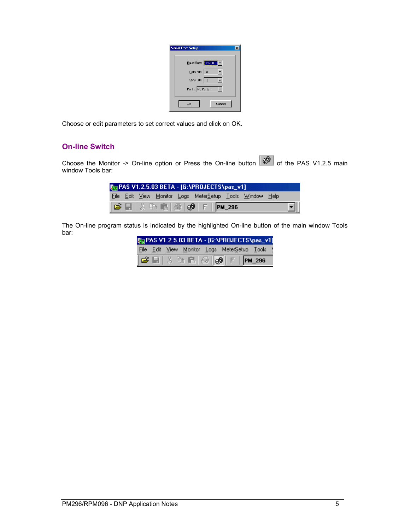| <b>Serial Port Setup</b> |  |
|--------------------------|--|
| Baud Rate: 19200<br>▮▾▮  |  |
| Data Bits: 8             |  |
| Stop Bits: 1             |  |
| Parity: No Parity        |  |
| OK<br>Cancel             |  |

<span id="page-4-0"></span>Choose or edit parameters to set correct values and click on OK.

#### **On-line Switch**

Choose the Monitor -> On-line option or Press the On-line button  $\mathbb{R}^{\mathbb{Z}^{\mathbb{Z}}}$  of the PAS V1.2.5 main window Tools bar:

|  |  | <b>Bay PAS V1.2.5.03 BETA - [G:\PROJECTS\pas_v1]</b>                                              |  |           |
|--|--|---------------------------------------------------------------------------------------------------|--|-----------|
|  |  | File Edit View Monitor Logs MeterSetup Tools Window Help                                          |  |           |
|  |  | $ \mathcal{B} \boxdot $ % in E $ \mathcal{B} $ ( $\mathcal{P} $ F $ \mathsf{P} \mathsf{M}_-$ 296) |  | $\boxdot$ |

The On-line program status is indicated by the highlighted On-line button of the main window Tools bar:

|  |  | <b>Exx PAS V1.2.5.03 BETA - [G:\PROJECTS\pas_v1]</b>                                                         |  |
|--|--|--------------------------------------------------------------------------------------------------------------|--|
|  |  | File Edit View Monitor Logs MeterSetup Tools \                                                               |  |
|  |  | $ \boldsymbol{\beta} $ . Below $ \boldsymbol{\beta} $ of $ \boldsymbol{\beta} $ . For $ \boldsymbol{\beta} $ |  |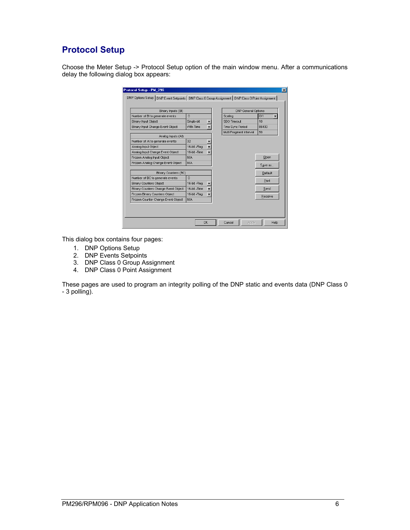# <span id="page-5-0"></span>**Protocol Setup**

Choose the Meter Setup -> Protocol Setup option of the main window menu. After a communications delay the following dialog box appears:

| Binary Inputs (BI)                  |                  | <b>DNP General Options</b> |         |
|-------------------------------------|------------------|----------------------------|---------|
| Number of BI to generate events     | $\Omega$         | Scaling                    | Off     |
| <b>Binary Input Object</b>          | Single-bit       | SBO Timeout                | 10      |
| Binary Input Change Event Object    | <b>With Time</b> | Time Sync Period           | 86400   |
|                                     |                  | Multi Fragment Interval    | 50      |
| Analog Inputs (AI)                  |                  |                            |         |
| Number of AI to generate events     | 32               |                            |         |
| Analog Input Object                 | 16-bit -Flag     |                            |         |
| Analog Input Change Event Object    | 16-bit - Time    |                            |         |
| Frozen Analog Input Object          | N/A              |                            | Open    |
| Frozen Analog Change Event Object   | N/A              |                            | Save as |
| Binary Counters (BC)                |                  |                            | Default |
| Number of BC to generate events     | $\Omega$         |                            |         |
| <b>Binary Counters Object</b>       | 16-bit -Flag     |                            | Print   |
| Binary Counters Change Event Object | 16-bit - Time    |                            | Send    |
| Frozen Binary Counters Object       | 16-bit -Flag     |                            |         |
| Frozen Counter Change Event Object  | N/A              |                            | Receive |

This dialog box contains four pages:

- 1. DNP Options Setup
- 2. DNP Events Setpoints
- 3. DNP Class 0 Group Assignment
- 4. DNP Class 0 Point Assignment

These pages are used to program an integrity polling of the DNP static and events data (DNP Class 0 - 3 polling).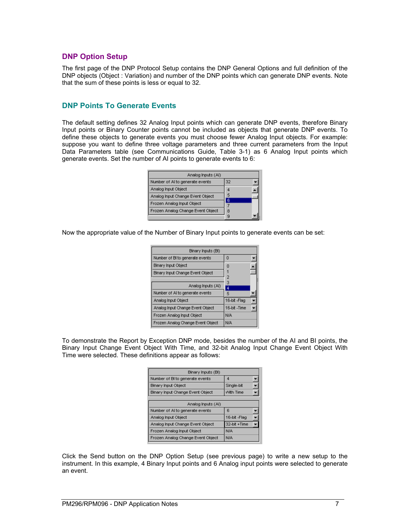#### <span id="page-6-0"></span>**DNP Option Setup**

The first page of the DNP Protocol Setup contains the DNP General Options and full definition of the DNP objects (Object : Variation) and number of the DNP points which can generate DNP events. Note that the sum of these points is less or equal to 32.

#### **DNP Points To Generate Events**

The default setting defines 32 Analog Input points which can generate DNP events, therefore Binary Input points or Binary Counter points cannot be included as objects that generate DNP events. To define these objects to generate events you must choose fewer Analog Input objects. For example: suppose you want to define three voltage parameters and three current parameters from the Input Data Parameters table (see Communications Guide, Table 3-1) as 6 Analog Input points which generate events. Set the number of AI points to generate events to 6:

| Analog Inputs (AI)                |    |
|-----------------------------------|----|
| Number of Al to generate events   | 32 |
| Analog Input Object               | ٤  |
| Analog Input Change Event Object  |    |
| Frozen Analog Input Object        |    |
| Frozen Analog Change Event Object | 8  |
|                                   |    |

Now the appropriate value of the Number of Binary Input points to generate events can be set:

| Binary Inputs (BI)                |               |
|-----------------------------------|---------------|
| Number of BI to generate events   | 0             |
| <b>Binary Input Object</b>        | 0             |
| Binary Input Change Event Object  |               |
|                                   | 2             |
| Analog Inputs (AI)                | з<br>4        |
| Number of AI to generate events   | 5             |
| Analog Input Object               | 16-bit -Flaq  |
| Analog Input Change Event Object  | 16-bit - Time |
| Frozen Analog Input Object        | N/A           |
| Frozen Analog Change Event Object | N/A           |

To demonstrate the Report by Exception DNP mode, besides the number of the AI and BI points, the Binary Input Change Event Object With Time, and 32-bit Analog Input Change Event Object With Time were selected. These definitions appear as follows:

| Binary Inputs (BI)                |              |
|-----------------------------------|--------------|
| Number of BI to generate events   | 4            |
| <b>Binary Input Object</b>        | Single-bit   |
| Binary Input Change Event Object  | With Time    |
|                                   |              |
| Analog Inputs (AI)                |              |
| Number of AI to generate events   | 6            |
| Analog Input Object               | 16-bit -Flag |
| Analog Input Change Event Object  | 32-bit +Time |
| Frozen Analog Input Object        | N/A          |
| Frozen Analog Change Event Object | N/A          |

Click the Send button on the DNP Option Setup (see previous page) to write a new setup to the instrument. In this example, 4 Binary Input points and 6 Analog input points were selected to generate an event.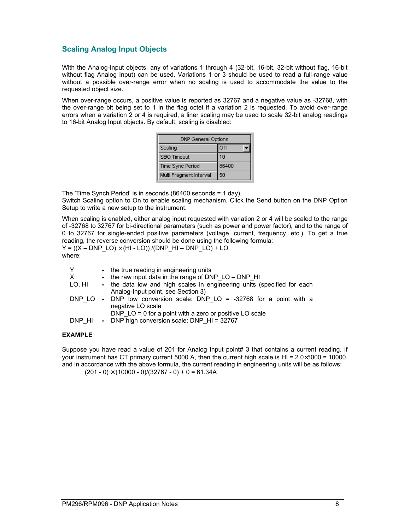#### <span id="page-7-0"></span>**Scaling Analog Input Objects**

With the Analog-Input objects, any of variations 1 through 4 (32-bit, 16-bit, 32-bit without flag, 16-bit without flag Analog Input) can be used. Variations 1 or 3 should be used to read a full-range value without a possible over-range error when no scaling is used to accommodate the value to the requested object size.

When over-range occurs, a positive value is reported as 32767 and a negative value as -32768, with the over-range bit being set to 1 in the flag octet if a variation 2 is requested. To avoid over-range errors when a variation 2 or 4 is required, a liner scaling may be used to scale 32-bit analog readings to 16-bit Analog Input objects. By default, scaling is disabled:

| DNP General Options     |       |  |  |  |
|-------------------------|-------|--|--|--|
| Scaling                 | Off   |  |  |  |
| SBO Timeout             | 10    |  |  |  |
| <b>Time Sync Period</b> | 86400 |  |  |  |
| Multi Fragment Interval | 50    |  |  |  |

The 'Time Synch Period' is in seconds (86400 seconds = 1 day).

Switch Scaling option to On to enable scaling mechanism. Click the Send button on the DNP Option Setup to write a new setup to the instrument.

When scaling is enabled, either analog input requested with variation 2 or 4 will be scaled to the range of -32768 to 32767 for bi-directional parameters (such as power and power factor), and to the range of 0 to 32767 for single-ended positive parameters (voltage, current, frequency, etc.). To get a true reading, the reverse conversion should be done using the following formula:  $Y = ((X - DNP \ LO) \times (HI - LO)) / (DNP \ HI - DNP \ LO) + LO$ where:

| Y      | - the true reading in engineering units                                                                       |
|--------|---------------------------------------------------------------------------------------------------------------|
| X      | - the raw input data in the range of DNP $LO - DNP$ HI                                                        |
| LO. HI | - the data low and high scales in engineering units (specified for each<br>Analog-Input point, see Section 3) |
|        | DNP LO - DNP low conversion scale: DNP LO = $-32768$ for a point with a<br>negative LO scale                  |
| DNP HI | DNP $LO = 0$ for a point with a zero or positive LO scale<br>- DNP high conversion scale: DNP HI = 32767      |

#### **EXAMPLE**

Suppose you have read a value of 201 for Analog Input point# 3 that contains a current reading. If your instrument has CT primary current 5000 A, then the current high scale is HI = 2.0×5000 = 10000, and in accordance with the above formula, the current reading in engineering units will be as follows:

 $(201 - 0) \times (10000 - 0)/(32767 - 0) + 0 = 61.34A$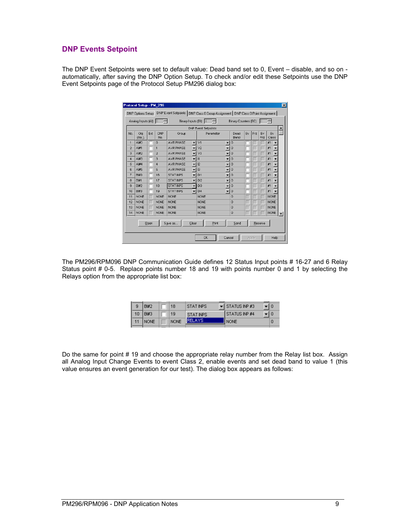#### <span id="page-8-0"></span>**DNP Events Setpoint**

The DNP Event Setpoints were set to default value: Dead band set to 0, Event – disable, and so on automatically, after saving the DNP Option Setup. To check and/or edit these Setpoints use the DNP Event Setpoints page of the Protocol Setup PM296 dialog box:

|                | Analog Inputs (AI) 6 |      |                   | Binary Inputs (BI) 4 |                          | ÷                          |                          | <b>Binary Counters (BC)</b> |    |     | IО        |                                |   |
|----------------|----------------------|------|-------------------|----------------------|--------------------------|----------------------------|--------------------------|-----------------------------|----|-----|-----------|--------------------------------|---|
|                |                      |      |                   |                      |                          | <b>DNP Event Setpoints</b> |                          |                             |    |     |           |                                |   |
| No.            | Obi<br>(No.).        | Ext  | <b>DNP</b><br>No. | Group                |                          | Parameter                  |                          | Dead<br>Band                | Ev | Frz | Ev<br>Frz | Ev<br>Class                    |   |
| $\mathbf{1}$   | AI#0                 |      | $\overline{0}$    | AVR PHASE            | $\overline{\phantom{a}}$ | V <sub>1</sub>             | ▼                        | $\theta$                    |    |     |           | #1                             |   |
| $\overline{2}$ | A#1                  |      | 1                 | AVR PHASE            | $\overline{\phantom{a}}$ | V <sub>2</sub>             | ▼                        | $\theta$                    |    |     |           | #1<br>▼                        |   |
| 3              | AI#2                 |      | $\overline{2}$    | AVR PHASE            | ▾║                       | V3                         | ٠                        | $\overline{0}$              |    |     |           | #1<br>$\overline{\phantom{a}}$ |   |
| $\overline{4}$ | AI#3                 |      | 3                 | <b>AVR PHASE</b>     | $\mathbf{v}$   11        |                            | $\overline{\phantom{a}}$ | $\theta$                    |    |     |           | #1<br>$\overline{\phantom{a}}$ |   |
| 5              | A#4                  |      | 4                 | AVR PHASE            | $\overline{\phantom{a}}$ | II 12                      | ▼                        | $\theta$                    |    |     |           | #1<br>▼                        |   |
| 6              | AI#5                 |      | 5                 | AVR PHASE            | $\blacksquare$           | I3                         | $\overline{\phantom{a}}$ | $\theta$                    |    |     |           | #1<br>$\overline{\phantom{a}}$ |   |
| $\overline{7}$ | <b>BI#0</b>          |      | 16                | <b>STATINPS</b>      | $\overline{\phantom{a}}$ | DI1                        | ▼                        | $\theta$                    |    |     |           | #1<br>$\overline{\phantom{a}}$ |   |
| 8              | <b>BI#1</b>          |      | 17                | <b>STATINPS</b>      | $\overline{\phantom{a}}$ | DI2                        |                          | $\theta$                    |    |     |           | #1                             |   |
| $\overline{9}$ | BI#2                 |      | 18                | <b>STATINPS</b>      | ▾                        | D <sub>13</sub>            | $\overline{\mathbf{r}}$  | $\theta$                    |    |     |           | #1<br>$\overline{\phantom{a}}$ |   |
| 10             | <b>BI#3</b>          |      | 19                | <b>STATINPS</b>      | $\overline{\phantom{a}}$ | DI4                        | $\mathbf{v}$ 0           |                             |    |     |           | #1                             |   |
| 11             | <b>NONE</b>          |      | <b>NONE</b>       | <b>NONE</b>          |                          | <b>NONE</b>                |                          | $\Omega$                    |    |     |           | <b>NONE</b>                    |   |
| 12             | <b>NONE</b>          |      | <b>NONE</b>       | <b>NONE</b>          |                          | <b>NONE</b>                |                          | $\overline{0}$              |    |     |           | <b>NONE</b>                    |   |
| 13             | <b>NONE</b>          |      | <b>NONE</b>       | <b>NONE</b>          |                          | <b>NONE</b>                |                          | $\theta$                    |    |     |           | <b>NONE</b>                    |   |
| 14             | <b>NONE</b>          |      | <b>NONE</b>       | <b>NONE</b>          |                          | <b>NONE</b>                |                          | $\overline{0}$              |    |     |           | <b>NONE</b>                    | ۰ |
|                |                      | Open |                   | Save as              | Clear                    | Print                      |                          | Send                        |    |     | Receive   |                                |   |

The PM296/RPM096 DNP Communication Guide defines 12 Status Input points # 16-27 and 6 Relay Status point # 0-5. Replace points number 18 and 19 with points number 0 and 1 by selecting the Relays option from the appropriate list box:

|  | Fil#7       | 18          | STAT INPS | ►II STATUS INP #3 |  |
|--|-------------|-------------|-----------|-------------------|--|
|  | <b>BI#3</b> | 19          | STAT INPS | I STATUS INP #4   |  |
|  | <b>NONE</b> | <b>NONE</b> |           | I NONE            |  |

Do the same for point # 19 and choose the appropriate relay number from the Relay list box. Assign all Analog Input Change Events to event Class 2, enable events and set dead band to value 1 (this value ensures an event generation for our test). The dialog box appears as follows: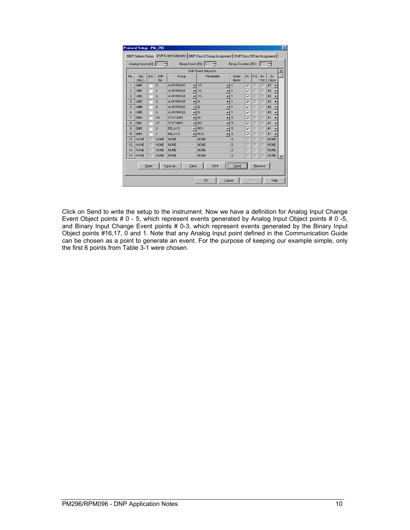|                | Protocol Setup - PM 296<br>DNP Options Setup |      |                   |                    |                          | DNP Event Setpoints   DNP Class 0 Group Assignment   DNP Class 0 Point Assignment |                          |                             |    |       |           |             |      | $\vert x \vert$ |
|----------------|----------------------------------------------|------|-------------------|--------------------|--------------------------|-----------------------------------------------------------------------------------|--------------------------|-----------------------------|----|-------|-----------|-------------|------|-----------------|
|                | Analog Inputs (AI)                           |      | 16                | Binary Inputs (BI) |                          | 4                                                                                 |                          | <b>Binary Counters (BC)</b> |    |       |           | H.          |      |                 |
|                |                                              |      |                   |                    |                          | <b>DNP Event Setpoints</b>                                                        |                          |                             |    |       |           |             |      |                 |
| No.            | Obi<br>(No.).                                | Ext  | <b>DNP</b><br>No. | Group              |                          | Parameter                                                                         |                          | Dead<br>Band                | Ev | Frz   | Ev<br>Frz | Ev<br>Class |      |                 |
| $\overline{1}$ | A H                                          |      | $\overline{0}$    | <b>AVR PHASE</b>   | $\overline{\phantom{a}}$ | V <sub>1</sub>                                                                    | $\overline{\phantom{a}}$ | 11                          | ⊽  |       |           | #2          |      |                 |
| $\overline{2}$ | AI#1                                         |      | 1                 | <b>AVR PHASE</b>   | ▼                        | V <sub>2</sub>                                                                    | $\overline{\phantom{a}}$ | $\mathbf{1}$                | ⊽  |       |           | #2          |      |                 |
| 3              | AI#2                                         |      | $\overline{2}$    | <b>AVR PHASE</b>   | $\overline{\phantom{a}}$ | V <sub>3</sub>                                                                    | ▼                        | $\overline{1}$              | ⊽  |       |           | #2          |      |                 |
| $\overline{4}$ | A#3                                          |      | 3                 | <b>AVR PHASE</b>   | $\overline{\phantom{a}}$ | $\vert$ 11                                                                        | $\overline{\phantom{0}}$ | $\mathbf{1}$                | ⊽  |       |           | #2          |      |                 |
| 5              | $A$ $#4$                                     |      | $\overline{4}$    | <b>AVR PHASE</b>   | $\overline{\mathbf{v}}$  | 12                                                                                |                          | $\mathbf{1}$                | ⊽  |       |           | #2          |      |                 |
| 6              | $A$ $#5$                                     |      | 5                 | <b>AVR PHASE</b>   | $\overline{\phantom{a}}$ | 3                                                                                 | $\overline{\phantom{a}}$ | $\vert$ 1                   | ⊽  |       |           | #2          |      |                 |
| $\overline{7}$ | <b>BI#0</b>                                  |      | 16                | <b>STATINPS</b>    | $\overline{\phantom{a}}$ | DI1                                                                               | $\overline{\phantom{a}}$ | $\theta$                    | ⊽  |       |           | #1          |      |                 |
| 8              | <b>BI#1</b>                                  |      | 17                | <b>STATINPS</b>    | ▼                        | D <sub>12</sub>                                                                   | $\overline{\phantom{0}}$ | $\theta$                    | ⊽  |       |           | #1          |      |                 |
| $\overline{9}$ | BI#2                                         |      | $\overline{0}$    | <b>RELAYS</b>      |                          | RO1                                                                               | $\overline{\phantom{a}}$ | $\theta$                    | ⊽  |       |           | #1          |      |                 |
| 10             | H#3                                          |      | 1                 | <b>RELAYS</b>      |                          | RO <sub>2</sub>                                                                   | $\overline{\phantom{a}}$ | $\theta$                    | ⊽  |       |           | #1          |      |                 |
| 11             | <b>NONE</b>                                  |      | <b>NONE</b>       | <b>NONE</b>        |                          | <b>NONE</b>                                                                       |                          | $\overline{0}$              |    |       |           | <b>NONE</b> |      |                 |
| 12             | <b>NONE</b>                                  |      | <b>NONE</b>       | <b>NONE</b>        |                          | <b>NONE</b>                                                                       |                          | $\Omega$                    |    |       |           | <b>NONE</b> |      |                 |
| 13             | <b>NONE</b>                                  |      | <b>NONE</b>       | <b>NONE</b>        |                          | <b>NONE</b>                                                                       |                          | $\theta$                    |    |       |           | <b>NONE</b> |      |                 |
| 14             | <b>NONE</b>                                  |      | <b>NONE</b>       | <b>NONE</b>        |                          | <b>NONE</b>                                                                       |                          | $\Omega$                    |    |       |           | <b>NONE</b> |      |                 |
|                |                                              | Open |                   | Save as            | Clear                    | Print                                                                             |                          | Send                        |    |       | Receive   |             |      |                 |
|                |                                              |      |                   |                    |                          | <b>OK</b>                                                                         | Cancel                   |                             |    | Apply |           |             | Help |                 |

Click on Send to write the setup to the instrument. Now we have a definition for Analog Input Change Event Object points # 0 - 5, which represent events generated by Analog Input Object points # 0 -5, and Binary Input Change Event points # 0-3, which represent events generated by the Binary Input Object points #16,17, 0 and 1. Note that any Analog Input point defined in the Communication Guide can be chosen as a point to generate an event. For the purpose of keeping our example simple, only the first 6 points from Table 3-1 were chosen.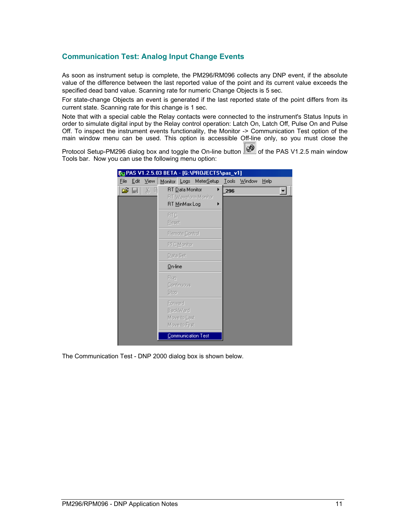#### <span id="page-10-0"></span>**Communication Test: Analog Input Change Events**

As soon as instrument setup is complete, the PM296/RM096 collects any DNP event, if the absolute value of the difference between the last reported value of the point and its current value exceeds the specified dead band value. Scanning rate for numeric Change Objects is 5 sec.

For state-change Objects an event is generated if the last reported state of the point differs from its current state. Scanning rate for this change is 1 sec.

Note that with a special cable the Relay contacts were connected to the instrument's Status Inputs in order to simulate digital input by the Relay control operation: Latch On, Latch Off, Pulse On and Pulse Off. To inspect the instrument events functionality, the Monitor -> Communication Test option of the main window menu can be used. This option is accessible Off-line only, so you must close the

Protocol Setup-PM296 dialog box and toggle the On-line button  $\circledast$  of the PAS V1.2.5 main window Tools bar. Now you can use the following menu option:

|                | By PAS V1.2.5.03 BETA - [G:\PROJECTS\pas_v1]                 |     |              |      |  |
|----------------|--------------------------------------------------------------|-----|--------------|------|--|
| File Edit View | Monitor Logs MeterSetup                                      |     | Tools Window | Help |  |
| 品 目<br>c II    | RT Data Monitor<br>▶<br>RT Waveform Monitor<br>RT MinMax Log | 296 |              |      |  |
|                | <b>RTC</b><br><b>Reset</b>                                   |     |              |      |  |
|                | <b>Remote Control</b>                                        |     |              |      |  |
|                | PFC Monitor                                                  |     |              |      |  |
|                | Data Set                                                     |     |              |      |  |
|                | $0n$ -line                                                   |     |              |      |  |
|                | Run<br>Continuous<br>Stop                                    |     |              |      |  |
|                | Forward<br>BackWard<br>Move to Last<br>Move to First         |     |              |      |  |
|                | Communication Test                                           |     |              |      |  |

The Communication Test - DNP 2000 dialog box is shown below.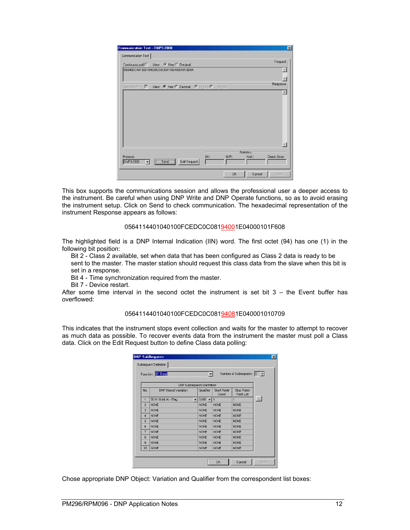| Communication Test - DNP3-2000<br>Communication Test       | $\overline{\mathbf{x}}$                           |
|------------------------------------------------------------|---------------------------------------------------|
| Continuous poll   View: € Hex C Decimal                    | Request                                           |
| 05640DC401000104639CC0C0011E04000101ED84                   |                                                   |
| Send Confirm   View: C Hex O Decimal   C Signed O Unsigned | Response                                          |
|                                                            |                                                   |
| Protocol:<br>OK:<br>Send<br>Edit Request<br>DNP3-2000      | <b>Statistics</b><br>Check Error:<br>N/R:<br>NAK: |
|                                                            | <b>OK</b><br>Cancel<br>Apply                      |

This box supports the communications session and allows the professional user a deeper access to the instrument. Be careful when using DNP Write and DNP Operate functions, so as to avoid erasing the instrument setup. Click on Send to check communication. The hexadecimal representation of the instrument Response appears as follows:

#### 0564114401040100FCEDC0C08194001E04000101F608

The highlighted field is a DNP Internal Indication (IIN) word. The first octet (94) has one (1) in the following bit position:

Bit 2 - Class 2 available, set when data that has been configured as Class 2 data is ready to be sent to the master. The master station should request this class data from the slave when this bit is set in a response.

Bit 4 - Time synchronization required from the master.

Bit 7 - Device restart.

After some time interval in the second octet the instrument is set bit  $3 -$  the Event buffer has overflowed:

#### 0564114401040100FCEDC0C08194081E040001010709

This indicates that the instrument stops event collection and waits for the master to attempt to recover as much data as possible. To recover events data from the instrument the master must poll a Class data. Click on the Edit Request button to define Class data polling:

|                | Function: 01 Read                 |                          | ▼                                     |                       | Number of Subrequests: 1  |          |
|----------------|-----------------------------------|--------------------------|---------------------------------------|-----------------------|---------------------------|----------|
|                | <b>DNP Subrequests Definition</b> |                          |                                       |                       |                           |          |
| No.            | DNP Object: Variation             |                          | Qualifier                             | Start Point/<br>Count | Stop Point/<br>Point List |          |
| 1              | 30:4 16-bit Al - Flag             | $\overline{\phantom{a}}$ | $0 \times 00$ $\blacktriangleright$ 1 |                       | $\overline{1}$            | $\cdots$ |
| $\overline{2}$ | <b>NONE</b>                       |                          | <b>NONE</b>                           | <b>NONE</b>           | <b>NONE</b>               |          |
| 3              | <b>NONE</b>                       |                          | <b>NONE</b>                           | <b>NONE</b>           | <b>NONE</b>               |          |
| 4              | <b>NONE</b>                       |                          | <b>NONE</b>                           | <b>NONE</b>           | <b>NONE</b>               |          |
| 5              | <b>NONE</b>                       |                          | <b>NONE</b>                           | <b>NONE</b>           | <b>NONE</b>               |          |
| 6              | <b>NONE</b>                       |                          | <b>NONE</b>                           | <b>NONE</b>           | <b>NONE</b>               |          |
| 7              | <b>NONE</b>                       |                          | <b>NONE</b>                           | <b>NONE</b>           | <b>NONE</b>               |          |
| 8              | <b>NONE</b>                       |                          | <b>NONE</b>                           | <b>NONE</b>           | <b>NONE</b>               |          |
| 9              | <b>NONE</b>                       |                          | <b>NONE</b>                           | <b>NONE</b>           | <b>NONE</b>               |          |
| 10             | <b>NONE</b>                       |                          | <b>NONE</b>                           | <b>NONE</b>           | <b>NONE</b>               |          |

Chose appropriate DNP Object: Variation and Qualifier from the correspondent list boxes: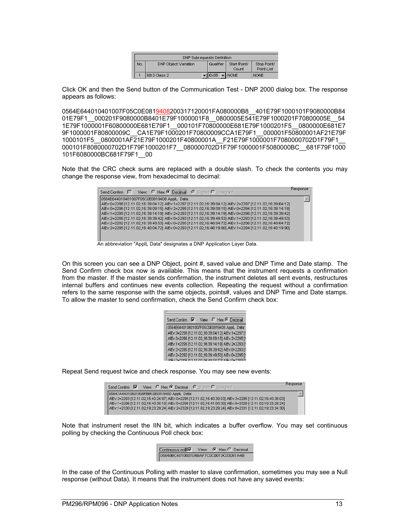|     | <b>DNP Subrequests Definition</b> |  |        |             |                       |                           |
|-----|-----------------------------------|--|--------|-------------|-----------------------|---------------------------|
| No. | DNP Object: Variation             |  |        | l Qualifier | Start Point/<br>Count | Stop Point/<br>Point List |
|     | 60:3 Class 2                      |  | •∥0x06 |             | T NONE∼               | <b>NONE</b>               |

Click OK and then the Send button of the Communication Test - DNP 2000 dialog box. The response appears as follows:

0564E644010401007F05C0E0819408200317120001FA080000B8\_401E79F1000101F9080000B84 01E79F1\_000201F9080000B8401E79F1000001F8\_0800005E541E79F1000201F70800005E\_54 1E79F1000001F60800000E681E79F1\_\_000101F70800000E681E79F1000201F5\_\_0800000E681E7 9F1000001F80800009C\_\_CA1E79F1000201F70800009CCA1E79F1\_\_000001F50800001AF21E79F 1000101F5\_\_0800001AF21E79F1000201F40800001A\_\_F21E79F1000001F7080000702D1F79F1\_\_ 000101F8080000702D1F79F1000201F7\_\_080000702D1F79F1000001F5080000BC\_\_681F79F1000 101F6080000BC681F79F1\_\_00

Note that the CRC check sums are replaced with a double slash. To check the contents you may change the response view, from hexadecimal to decimal:

| Send Confirm   View: C Hex C Decimal C Signed O Unsigned                                                    | : Response |
|-------------------------------------------------------------------------------------------------------------|------------|
| 0564E644010401007F05C0E0819408 ApplL Data:                                                                  |            |
| AIEv:0=2298 [12.11.02,16:39:04:12] AIEv:1=2297 [12.11.02,16:39:04:12] AIEv:2=2297 [12.11.02,16:39:04:12]    |            |
| AlEy:0=2296 [12.11.02,16:39:09:15] AlEy:2=2295 [12.11.02,16:39:09:15] AlEy:0=2294 [12.11.02,16:39:14:19]    |            |
| AlEv:1=2295 [12.11.02,16:39:14:19] AlEv:2=2293 [12.11.02,16:39:14:19] AlEv:0=2296 [12.11.02,16:39:39:42]    |            |
| AlEv: 2=2295 [12.11.02,16:39:39:42] AlEv: 0=2293 [12.11.02,16:39:49:53] AlEv: 1=2293 [12.11.02,16:39:49:53] |            |
| AlEv: 2=2292 [12.11.02.16:39:49:53] AlEv: 0=2295 [12.11.02.16:40:04:72] AlEv: 1=2296 [12.11.02.16:40:04:72] |            |
| AlEv: 2=2295 [12.11.02,16:40:04:72] AlEv: 0=2293 [12.11.02,16:40:19:90] AlEv:1=2294 [12.11.02,16:40:19:90]  |            |
|                                                                                                             |            |
|                                                                                                             |            |

An abbreviation "ApplL Data" designates a DNP Application Layer Data.

On this screen you can see a DNP Object, point #, saved value and DNP Time and Date stamp. The Send Confirm check box now is available. This means that the instrument requests a confirmation from the master. If the master sends confirmation, the instrument deletes all sent events, restructures internal buffers and continues new events collection. Repeating the request without a confirmation refers to the same response with the same objects, points#, values and DNP Time and Date stamps. To allow the master to send confirmation, check the Send Confirm check box:

| Send Confirm | View: C Hex C Decimal                             |  |
|--------------|---------------------------------------------------|--|
|              | 0564E644010401007F05C0E0819408 ApplL Data:        |  |
|              | AlEv:0=2298 [12.11.02,16:39:04:12] AlEv:1=2297 [1 |  |
|              | AlEv:0=2296 [12.11.02,16:39:09:15] AlEv:2=2295 [1 |  |
|              | AlEv:1=2295 [12.11.02,16:39:14:19] AlEv:2=2293 [1 |  |
|              | AlEv:2=2295 [12.11.02,16:39:39:42] AlEv:0=2293 [1 |  |
|              | AlEv:2=2292 [12.11.02,16:39:49:53] AlEv:0=2295 [1 |  |
|              | C-40-04-701-015-v0-2002                           |  |

Repeat Send request twice and check response. You may see new events:

| View: C Hex C Decimal C Signed C Unsigned<br>Send Confirm $\overline{\mathbf{V}}$                           | -Response |
|-------------------------------------------------------------------------------------------------------------|-----------|
| 05647A44010401008FBBC0E0819400 ApplL Data:                                                                  |           |
| AlEv: 2=2293 [12.11.02,16:40:24:97] AlEv: 0=2295 [12.11.02,16:40:30:03] AlEv: 2=2295 [12.11.02,16:40:30:03] |           |
| AlEv:1=2296 [12.11.02,16:40:35:10] AlEv:0=2298 [12.11.02,16:41:00:39] AlEv:0=2329 [12.11.02,19:23:29:24]    |           |
| AlEv:1=2330 [12.11.02,19:23:29:24] AlEv:2=2329 [12.11.02,19:23:29:24] AlEv:0=2331 [12.11.02,19:23:34:30]    |           |
|                                                                                                             |           |

Note that instrument reset the IIN bit, which indicates a buffer overflow. You may set continuous polling by checking the Continuous Poll check box:

| Continuous poll√ View: ⊙ Hex C Decimal |  |  |
|----------------------------------------|--|--|
| 05640BC401000104BAF7C0C0013C03061A4B   |  |  |

In the case of the Continuous Polling with master to slave confirmation, sometimes you may see a Null response (without Data). It means that the instrument does not have any saved events: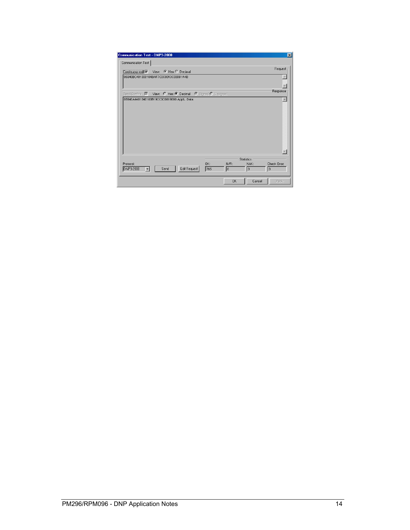| <b>Communication Test - DNP3-2000</b><br>Communication Test                              | $\mathbf{X}$       |
|------------------------------------------------------------------------------------------|--------------------|
| Continuous poli View: C Hex C Decimal                                                    | Request            |
| 05640BC401000104BAF7C0C0013C03061A4B                                                     |                    |
|                                                                                          |                    |
| Send Confirm M View: C Hex @ Decimal @ Signed O Unsigned                                 | Response           |
| 05640A4401040100B19CC0C0819000 ApplL Data:                                               |                    |
|                                                                                          |                    |
|                                                                                          |                    |
|                                                                                          |                    |
|                                                                                          |                    |
|                                                                                          |                    |
|                                                                                          |                    |
|                                                                                          |                    |
| <b>Statistics</b>                                                                        |                    |
| OK:<br>Protocol:<br>N/R:<br>NAK:<br>Edit Request<br>DNP3-2000<br>I٥<br>Send<br>765<br>I٥ | Check Error:<br>I٥ |
|                                                                                          |                    |
| <b>OK</b><br>Cancel                                                                      | Apply              |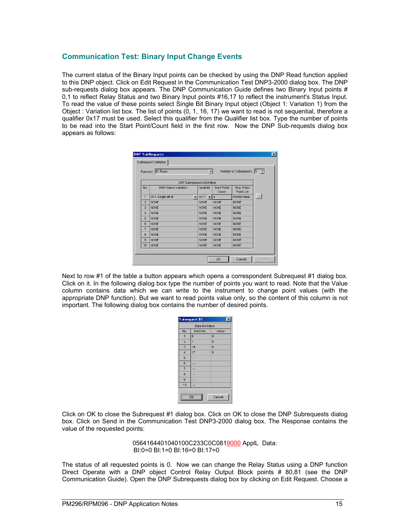#### <span id="page-14-0"></span>**Communication Test: Binary Input Change Events**

The current status of the Binary Input points can be checked by using the DNP Read function applied to this DNP object. Click on Edit Request in the Communication Test DNP3-2000 dialog box. The DNP sub-requests dialog box appears. The DNP Communication Guide defines two Binary Input points # 0,1 to reflect Relay Status and two Binary Input points #16,17 to reflect the instrument's Status Input. To read the value of these points select Single Bit Binary Input object (Object 1: Variation 1) from the Object : Variation list box. The list of points (0, 1, 16, 17) we want to read is not sequential, therefore a qualifier 0x17 must be used. Select this qualifier from the Qualifier list box. Type the number of points to be read into the Start Point/Count field in the first row. Now the DNP Sub-requests dialog box appears as follows:

|                | Function: 01 Read     |                          | $\blacktriangledown$              |                       | Number of Subrequests: 1 - |        |
|----------------|-----------------------|--------------------------|-----------------------------------|-----------------------|----------------------------|--------|
|                |                       |                          | <b>DNP Subrequests Definition</b> |                       |                            |        |
| No.            | DNP Object: Variation |                          | Qualifier                         | Start Point/<br>Count | Stop Point/<br>Point List  |        |
| 1              | 01:1 Single Bit BI    | $\overline{\phantom{a}}$ | $0x17 - 14$                       |                       | Point&Value.               | $\sim$ |
| $\overline{2}$ | <b>NONE</b>           |                          | <b>NONE</b>                       | <b>NONE</b>           | <b>NONE</b>                |        |
| 3              | <b>NONE</b>           |                          | <b>NONE</b>                       | <b>NONE</b>           | <b>NONE</b>                |        |
| $\overline{4}$ | <b>NONE</b>           |                          | <b>NONE</b>                       | <b>NONE</b>           | <b>NONE</b>                |        |
| 5              | <b>NONE</b>           |                          | <b>NONE</b>                       | <b>NONE</b>           | <b>NONE</b>                |        |
| $\overline{a}$ | <b>NONE</b>           |                          | <b>NONE</b>                       | <b>NONE</b>           | <b>NONE</b>                |        |
| 7              | <b>NONE</b>           |                          | <b>NONE</b>                       | <b>NONE</b>           | <b>NONE</b>                |        |
| 8              | <b>NONE</b>           |                          | <b>NONE</b>                       | <b>NONE</b>           | <b>NONE</b>                |        |
| 9              | <b>NONE</b>           |                          | <b>NONE</b>                       | <b>NONE</b>           | <b>NONE</b>                |        |
| 10             | <b>NONE</b>           |                          | <b>NONE</b>                       | <b>NONE</b>           | <b>NONE</b>                |        |

Next to row #1 of the table a button appears which opens a correspondent Subrequest #1 dialog box. Click on it. In the following dialog box type the number of points you want to read. Note that the Value column contains data which we can write to the instrument to change point values (with the appropriate DNP function). But we want to read points value only, so the content of this column is not important. The following dialog box contains the number of desired points.

|                | Subrequest #1<br>$\boldsymbol{\mathsf{x}}$ |                |  |  |  |  |  |  |  |
|----------------|--------------------------------------------|----------------|--|--|--|--|--|--|--|
|                | <b>Data Definition</b>                     |                |  |  |  |  |  |  |  |
| No.            | Point No.                                  | Value          |  |  |  |  |  |  |  |
| 1              | $\overline{0}$                             | $\overline{0}$ |  |  |  |  |  |  |  |
| $\overline{2}$ | 1                                          | $\overline{0}$ |  |  |  |  |  |  |  |
| 3              | 16                                         | $\overline{0}$ |  |  |  |  |  |  |  |
| $\overline{4}$ | 17                                         | 0              |  |  |  |  |  |  |  |
| 5              |                                            |                |  |  |  |  |  |  |  |
| 6              |                                            |                |  |  |  |  |  |  |  |
| $\overline{7}$ |                                            |                |  |  |  |  |  |  |  |
| 8              |                                            |                |  |  |  |  |  |  |  |
| 9              |                                            |                |  |  |  |  |  |  |  |
| 10             |                                            |                |  |  |  |  |  |  |  |
|                | ΠK                                         | Cancel         |  |  |  |  |  |  |  |

Click on OK to close the Subrequest #1 dialog box. Click on OK to close the DNP Subrequests dialog box. Click on Send in the Communication Test DNP3-2000 dialog box. The Response contains the value of the requested points:

> 0564164401040100C233C0C0819000 ApplL Data: BI:0=0 BI:1=0 BI:16=0 BI:17=0

The status of all requested points is 0. Now we can change the Relay Status using a DNP function Direct Operate with a DNP object Control Relay Output Block points # 80,81 (see the DNP Communication Guide). Open the DNP Subrequests dialog box by clicking on Edit Request. Choose a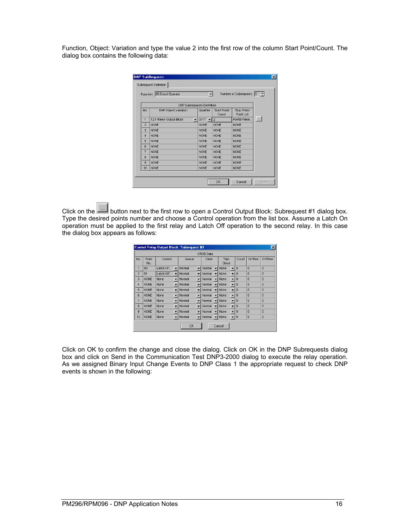Function, Object: Variation and type the value 2 into the first row of the column Start Point/Count. The dialog box contains the following data:

|                | Function: 05 Direct Operate               | $\blacktriangledown$             |                       | Number of Subrequests: 1 - |        |
|----------------|-------------------------------------------|----------------------------------|-----------------------|----------------------------|--------|
|                | DNP Subrequests Definition                |                                  |                       |                            |        |
| No.            | DNP Object: Variation                     | Qualifier                        | Start Point/<br>Count | Stop Point/<br>Point List  |        |
| 1              | 12:1 Relay Output Block<br>$\blacksquare$ | $0\times17$ $\blacktriangledown$ | $\overline{2}$        | Point&Value.               | $\sim$ |
| $\overline{2}$ | <b>NONE</b>                               | <b>NONE</b>                      | <b>NONE</b>           | <b>NONE</b>                |        |
| 3              | <b>NONE</b>                               | <b>NONE</b>                      | <b>NONE</b>           | <b>NONE</b>                |        |
| $\overline{4}$ | <b>NONE</b>                               | <b>NONE</b>                      | <b>NONE</b>           | <b>NONE</b>                |        |
| 5              | <b>NONE</b>                               | <b>NONE</b>                      | <b>NONE</b>           | <b>NONE</b>                |        |
| 6              | <b>NONE</b>                               | <b>NONE</b>                      | <b>NONE</b>           | <b>NONE</b>                |        |
| $\overline{7}$ | <b>NONE</b>                               | <b>NONE</b>                      | <b>NONE</b>           | <b>NONE</b>                |        |
| 8              | <b>NONE</b>                               | <b>NONE</b>                      | <b>NONE</b>           | <b>NONE</b>                |        |
| 9              | <b>NONE</b>                               | <b>NONE</b>                      | <b>NONE</b>           | <b>NONE</b>                |        |
| 10             | <b>NONE</b>                               | <b>NONE</b>                      | <b>NONE</b>           | <b>NONE</b>                |        |
|                |                                           |                                  |                       |                            |        |

Click on the **button next to the first row to open a Control Output Block: Subrequest #1 dialog box.** Type the desired points number and choose a Control operation from the list box. Assume a Latch On operation must be applied to the first relay and Latch Off operation to the second relay. In this case the dialog box appears as follows:

|                |              | <b>Control Relay Output Block: Subrequest #1</b> |                          |           |                          |                  |                                  |                |                | $\vert x \vert$ |
|----------------|--------------|--------------------------------------------------|--------------------------|-----------|--------------------------|------------------|----------------------------------|----------------|----------------|-----------------|
|                |              |                                                  |                          |           |                          | <b>CROB Data</b> |                                  |                |                |                 |
| No.            | Point<br>No. | Control                                          |                          | Queue     |                          | Clear            | Trip\<br>Close                   | Count          | OnTime         | OffTime         |
| 1              | 80           | Latch On                                         | $\overline{\phantom{a}}$ | Normal    | $\overline{\phantom{a}}$ | Normal           | None<br>$\overline{\phantom{a}}$ | $\overline{0}$ | $\overline{0}$ | $\theta$        |
| $\overline{2}$ | 81           | Latch Off                                        | ÷                        | Normal    |                          | Normal           | None<br>$\overline{\phantom{0}}$ | $\theta$       | $\overline{0}$ | $\overline{0}$  |
| 3              | <b>NONE</b>  | None                                             | $\overline{\phantom{a}}$ | Normal    |                          | Normal           | $\overline{\phantom{a}}$<br>None | $\theta$       | $\Omega$       | $\theta$        |
| $\overline{4}$ | <b>NONE</b>  | None                                             | $\overline{\phantom{a}}$ | Normal    |                          | Normal           | $\overline{\phantom{a}}$<br>None | $\theta$       | $\overline{0}$ | $\overline{0}$  |
| 5              | <b>NONE</b>  | None                                             | $\overline{\phantom{0}}$ | Normal    |                          | Normal           | $\overline{\phantom{a}}$<br>None | $\theta$       | $\overline{0}$ | $\Omega$        |
| 6              | <b>NONE</b>  | None                                             | $\overline{\phantom{a}}$ | Normal    |                          | Normal           | $\overline{\phantom{a}}$<br>None | $\theta$       | $\overline{0}$ | $\overline{0}$  |
| 7              | <b>NONE</b>  | None                                             | $\overline{\phantom{0}}$ | Normal    | ▼                        | Normal           | $\overline{\phantom{a}}$<br>None | $\Omega$       | $\Omega$       | $\Omega$        |
| 8              | <b>NONE</b>  | None                                             | $\overline{\phantom{a}}$ | Normal    |                          | Normal           | None<br>$\overline{\phantom{a}}$ | $\theta$       | $\overline{0}$ | $\overline{0}$  |
| $\overline{a}$ | <b>NONE</b>  | None                                             |                          | Normal    |                          | Normal           | $\overline{\phantom{0}}$<br>None | $\Omega$       | $\Omega$       | $\Omega$        |
| 10             | <b>NONE</b>  | None                                             | $\overline{\phantom{a}}$ | Normal    | $\overline{\phantom{a}}$ | Normal           | None<br>$\mathbf{v}$             | $\theta$       | 0              | $\bf{0}$        |
|                |              |                                                  |                          | <b>OK</b> |                          |                  | Cancel                           |                |                |                 |

Click on OK to confirm the change and close the dialog. Click on OK in the DNP Subrequests dialog box and click on Send in the Communication Test DNP3-2000 dialog to execute the relay operation. As we assigned Binary Input Change Events to DNP Class 1 the appropriate request to check DNP events is shown in the following: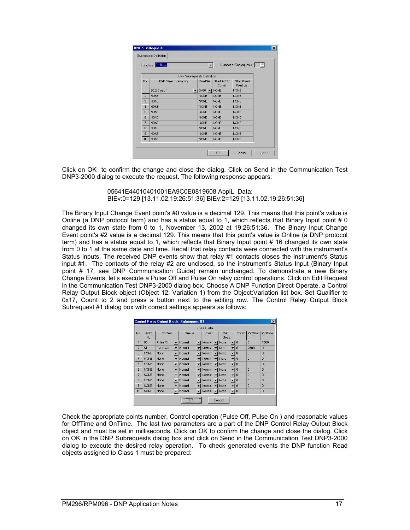|                | Function: 01 Read     |                | $\blacktriangledown$               |                       | Number of Subrequests: 1 - |  |
|----------------|-----------------------|----------------|------------------------------------|-----------------------|----------------------------|--|
|                |                       |                | DNP Subrequests Definition         |                       |                            |  |
| No.            | DNP Object: Variation |                | Qualifier                          | Start Point/<br>Count | Stop Point/<br>Point List  |  |
| 1              | 60:2 Class 1          | $\blacksquare$ | $0 \times 06$ $\blacktriangledown$ | <b>NONE</b>           | <b>NONE</b>                |  |
| $\overline{2}$ | <b>NONE</b>           |                | <b>NONE</b>                        | <b>NONE</b>           | <b>NONE</b>                |  |
| 3              | <b>NONE</b>           |                | <b>NONE</b>                        | <b>NONE</b>           | <b>NONE</b>                |  |
| 4              | <b>NONE</b>           |                | <b>NONE</b>                        | <b>NONE</b>           | <b>NONE</b>                |  |
| 5              | <b>NONE</b>           |                | <b>NONE</b>                        | <b>NONE</b>           | <b>NONE</b>                |  |
| 6              | <b>NONE</b>           |                | <b>NONE</b>                        | <b>NONE</b>           | <b>NONE</b>                |  |
| $\overline{7}$ | <b>NONE</b>           |                | <b>NONE</b>                        | <b>NONE</b>           | <b>NONE</b>                |  |
| 8              | <b>NONE</b>           |                | <b>NONE</b>                        | <b>NONE</b>           | <b>NONE</b>                |  |
| 9              | <b>NONE</b>           |                | <b>NONE</b>                        | <b>NONE</b>           | <b>NONE</b>                |  |
| 10             | <b>NONE</b>           |                | <b>NONE</b>                        | <b>NONE</b>           | <b>NONE</b>                |  |

Click on OK to confirm the change and close the dialog. Click on Send in the Communication Test DNP3-2000 dialog to execute the request. The following response appears:

> 05641E44010401001EA9C0E0819608 ApplL Data: BIEv:0=129 [13.11.02,19:26:51:36] BIEv:2=129 [13.11.02,19:26:51:36]

The Binary Input Change Event point's #0 value is a decimal 129. This means that this point's value is Online (a DNP protocol term) and has a status equal to 1, which reflects that Binary Input point # 0 changed its own state from 0 to 1, November 13, 2002 at 19:26:51:36. The Binary Input Change Event point's #2 value is a decimal 129. This means that this point's value is Online (a DNP protocol term) and has a status equal to 1, which reflects that Binary Input point # 16 changed its own state from 0 to 1 at the same date and time. Recall that relay contacts were connected with the instrument's Status inputs. The received DNP events show that relay #1 contacts closes the instrument's Status input #1. The contacts of the relay #2 are unclosed, so the instrument's Status Input (Binary Input point # 17, see DNP Communication Guide) remain unchanged. To demonstrate a new Binary Change Events, let's execute a Pulse Off and Pulse On relay control operations. Click on Edit Request in the Communication Test DNP3-2000 dialog box. Choose A DNP Function Direct Operate, a Control Relay Output Block object (Object 12: Variation 1) from the Object:Variation list box. Set Qualifier to 0x17, Count to 2 and press a button next to the editing row. The Control Relay Output Block Subrequest #1 dialog box with correct settings appears as follows:

|                |              | <b>Control Relay Output Block: Subrequest #1</b> |                          |                                                                                                                                                                                                                                      |                          |                  |                          |                |                          |          |                | $\vert x \vert$ |
|----------------|--------------|--------------------------------------------------|--------------------------|--------------------------------------------------------------------------------------------------------------------------------------------------------------------------------------------------------------------------------------|--------------------------|------------------|--------------------------|----------------|--------------------------|----------|----------------|-----------------|
|                |              |                                                  |                          |                                                                                                                                                                                                                                      |                          | <b>CROB</b> Data |                          |                |                          |          |                |                 |
| No.            | Point<br>No. | Control                                          |                          | Queue                                                                                                                                                                                                                                |                          | Clear            |                          | Trip\<br>Close |                          | Count    | OnTime         | OffTime         |
| 1              | 80           | Pulse Off                                        | $\overline{\phantom{a}}$ | Normal                                                                                                                                                                                                                               | ▼                        | Normal           |                          | None           | $\overline{\phantom{a}}$ | $\Omega$ | $\theta$       | 1500            |
| $\overline{2}$ | 81           | Pulse On                                         | $\overline{\phantom{a}}$ | Normal                                                                                                                                                                                                                               |                          | Normal           |                          | None           | $\overline{\phantom{0}}$ | 0        | 2500           | 0               |
| 3              | <b>NONE</b>  | None                                             | $\overline{\phantom{0}}$ | Normal                                                                                                                                                                                                                               |                          | Normal           |                          | None           | $\overline{\phantom{0}}$ | $\Omega$ | $\Omega$       | $\theta$        |
| $\overline{4}$ | <b>NONE</b>  | None                                             |                          | Normal                                                                                                                                                                                                                               |                          | Normal           |                          | None           | $\overline{\phantom{a}}$ | $\theta$ | $\overline{0}$ | 0               |
| 5              | <b>NONE</b>  | None                                             | $\overline{\phantom{a}}$ | Normal                                                                                                                                                                                                                               |                          | Normal           |                          | None           | $\overline{\phantom{0}}$ | $\Omega$ | $\Omega$       | $\Omega$        |
| 6              | <b>NONE</b>  | None                                             |                          | Normal                                                                                                                                                                                                                               |                          | Normal           |                          | None           | $\overline{\phantom{a}}$ | $\theta$ | $\overline{0}$ | $\overline{0}$  |
| 7              | <b>NONE</b>  | <b>None</b>                                      |                          | Normal                                                                                                                                                                                                                               |                          | Normal           | ▼                        | None           | $\overline{\phantom{a}}$ | $\Omega$ | $\Omega$       | $\Omega$        |
| 8              | <b>NONE</b>  | None                                             |                          | Normal                                                                                                                                                                                                                               |                          | Normal           |                          | None           | $\overline{\phantom{a}}$ | 0        | $\overline{0}$ | $\overline{0}$  |
| 9              | <b>NONE</b>  | None                                             |                          | Normal                                                                                                                                                                                                                               |                          | Normal           |                          | None           |                          | $\theta$ | $\Omega$       | $\Omega$        |
| 10             | <b>NONE</b>  | None                                             | $\overline{\phantom{a}}$ | Normal                                                                                                                                                                                                                               | $\overline{\phantom{a}}$ | Normal           | $\overline{\phantom{0}}$ | None           | $\mathbf{v}$ 0           |          | $\bf{0}$       | $\bf{0}$        |
|                |              |                                                  |                          | <u> Linning – Linning – Linning – Linning – Linning – Linning – Linning – Linning – Linning – Linning – Linning – Linning – Linning – Linning – Linning – Linning – Linning – Linning – Linning – Linning – Linning – Linning – </u> |                          |                  |                          | Cancel         |                          |          |                |                 |

Check the appropriate points number, Control operation (Pulse Off, Pulse On ) and reasonable values for OffTime and OnTime. The last two parameters are a part of the DNP Control Relay Output Block object and must be set in milliseconds. Click on OK to confirm the change and close the dialog. Click on OK in the DNP Subrequests dialog box and click on Send in the Communication Test DNP3-2000 dialog to execute the desired relay operation. To check generated events the DNP function Read objects assigned to Class 1 must be prepared: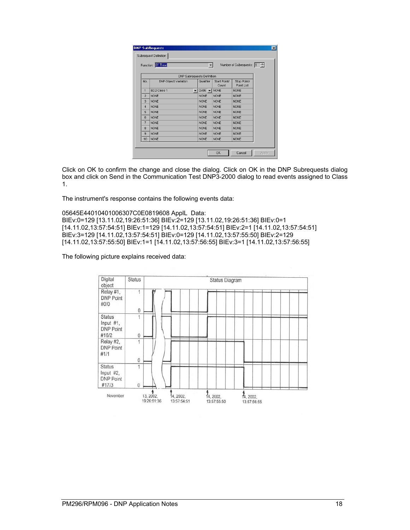|                | Function: 01 Read          |                      | ▼                                  |                       | Number of Subrequests: 1 - |  |
|----------------|----------------------------|----------------------|------------------------------------|-----------------------|----------------------------|--|
|                | DNP Subrequests Definition |                      |                                    |                       |                            |  |
| No.            | DNP Object: Variation      |                      | Qualifier                          | Start Point/<br>Count | Stop Point/<br>Point List  |  |
| 1              | 60:2 Class 1               | $\blacktriangledown$ | $0 \times 06$ $\blacktriangledown$ | <b>NONE</b>           | <b>NONE</b>                |  |
| $\overline{2}$ | <b>NONE</b>                |                      | <b>NONE</b>                        | <b>NONE</b>           | <b>NONE</b>                |  |
| 3              | <b>NONE</b>                |                      | <b>NONE</b>                        | <b>NONE</b>           | <b>NONE</b>                |  |
| 4              | <b>NONE</b>                |                      | <b>NONE</b>                        | <b>NONE</b>           | <b>NONE</b>                |  |
| 5              | <b>NONE</b>                |                      | <b>NONE</b>                        | <b>NONE</b>           | <b>NONE</b>                |  |
| 6              | <b>NONE</b>                |                      | <b>NONE</b>                        | <b>NONE</b>           | <b>NONE</b>                |  |
| $\overline{7}$ | <b>NONE</b>                |                      | <b>NONE</b>                        | <b>NONE</b>           | <b>NONE</b>                |  |
| 8              | <b>NONE</b>                |                      | <b>NONE</b>                        | <b>NONE</b>           | <b>NONE</b>                |  |
| 9              | <b>NONE</b>                |                      | <b>NONE</b>                        | <b>NONE</b>           | <b>NONE</b>                |  |
| 10             | <b>NONE</b>                |                      | <b>NONE</b>                        | <b>NONE</b>           | <b>NONE</b>                |  |

Click on OK to confirm the change and close the dialog. Click on OK in the DNP Subrequests dialog box and click on Send in the Communication Test DNP3-2000 dialog to read events assigned to Class 1.

The instrument's response contains the following events data:

05645E44010401006307C0E0819608 ApplL Data: BIEv:0=129 [13.11.02,19:26:51:36] BIEv:2=129 [13.11.02,19:26:51:36] BIEv:0=1 [14.11.02,13:57:54:51] BIEv:1=129 [14.11.02,13:57:54:51] BIEv:2=1 [14.11.02,13:57:54:51] BIEv:3=129 [14.11.02,13:57:54:51] BIEv:0=129 [14.11.02,13:57:55:50] BIEv:2=129 [14.11.02,13:57:55:50] BIEv:1=1 [14.11.02,13:57:56:55] BIEv:3=1 [14.11.02,13:57:56:55]

The following picture explains received data:

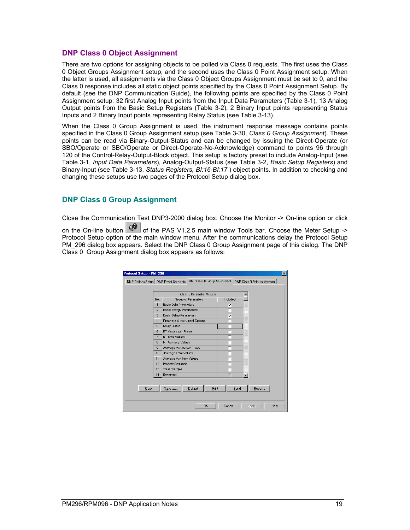#### <span id="page-18-0"></span>**DNP Class 0 Object Assignment**

There are two options for assigning objects to be polled via Class 0 requests. The first uses the Class 0 Object Groups Assignment setup, and the second uses the Class 0 Point Assignment setup. When the latter is used, all assignments via the Class 0 Object Groups Assignment must be set to 0, and the Class 0 response includes all static object points specified by the Class 0 Point Assignment Setup. By default (see the DNP Communication Guide), the following points are specified by the Class 0 Point Assignment setup: 32 first Analog Input points from the Input Data Parameters (Table 3-1), 13 Analog Output points from the Basic Setup Registers (Table 3-2), 2 Binary Input points representing Status Inputs and 2 Binary Input points representing Relay Status (see Table 3-13).

When the Class 0 Group Assignment is used, the instrument response message contains points specified in the Class 0 Group Assignment setup (see Table 3-30, *Class 0 Group Assignment*). These points can be read via Binary-Output-Status and can be changed by issuing the Direct-Operate (or SBO/Operate or SBO/Operate or Direct-Operate-No-Acknowledge) command to points 96 through 120 of the Control-Relay-Output-Block object. This setup is factory preset to include Analog-Input (see Table 3-1, *Input Data Parameters*), Analog-Output-Status (see Table 3-2, *Basic Setup Registers*) and Binary-Input (see Table 3-13, *Status Registers, BI:16-BI:17* ) object points. In addition to checking and changing these setups use two pages of the Protocol Setup dialog box.

#### **DNP Class 0 Group Assignment**

Close the Communication Test DNP3-2000 dialog box. Choose the Monitor -> On-line option or click

on the On-line button  $\mathbb{Q}^{\mathbb{Q}}$  of the PAS V1.2.5 main window Tools bar. Choose the Meter Setup -> Protocol Setup option of the main window menu. After the communications delay the Protocol Setup PM 296 dialog box appears. Select the DNP Class 0 Group Assignment page of this dialog. The DNP Class 0 Group Assignment dialog box appears as follows:

| DNP Options Setup   DNP Event Setpoints |                |                                |          | DNP Class 0 Group Assignment   DNP Class 0 Point Assignment |
|-----------------------------------------|----------------|--------------------------------|----------|-------------------------------------------------------------|
|                                         |                | Class 0 Parameter Groups       |          |                                                             |
|                                         | No.            | Group of Parameters            | Included |                                                             |
|                                         | $\mathbf{1}$   | Basic Data Parameters          | ⊽        |                                                             |
|                                         | $\overline{2}$ | <b>Basic Energy Parameters</b> |          |                                                             |
|                                         | 3              | <b>Basic Setup Parameters</b>  | ٧        |                                                             |
|                                         | $\overline{4}$ | Firmware & Instrument Options  |          |                                                             |
|                                         | 5              | Relay Status                   |          |                                                             |
|                                         | 6              | RT Values per Phase            |          |                                                             |
|                                         | 7              | RT Total Values                |          |                                                             |
|                                         | 8              | RT Auxiliary Values            |          |                                                             |
|                                         | $\overline{9}$ | Average Values per Phase       |          |                                                             |
|                                         | 10             | Average Total Values           |          |                                                             |
|                                         | 11             | Average Auxiliary Values       |          |                                                             |
|                                         | 12             | <b>Present Demands</b>         |          |                                                             |
|                                         | 13             | <b>Total Energies</b>          |          |                                                             |
|                                         | 14             | Reserved                       |          |                                                             |
| Open                                    |                | Save as<br>Print<br>Default    | Send     | Receive                                                     |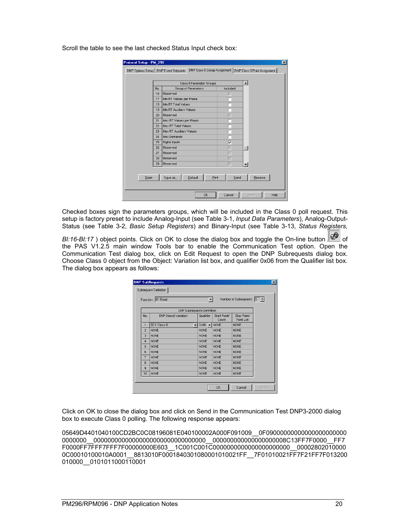|      |     | Class 0 Parameter Groups       |          |         |
|------|-----|--------------------------------|----------|---------|
|      | No. | Group of Parameters            | Included |         |
|      | 16  | Reserved                       |          |         |
|      | 17  | Min RT Values per Phase        |          |         |
|      | 18  | Min RT Total Values            |          |         |
|      | 19  | Min RT Auxiliary Values        |          |         |
|      | 20  | Reserved                       |          |         |
|      | 21  | Max RT Values per Phase        |          |         |
|      | 22  | Max RT Total Values            |          |         |
|      | 23  | Max RT Auxiliary Values        |          |         |
|      | 24  | Max Demands                    |          |         |
|      | 25  | Digital Inputs                 | ⊽        |         |
|      | 26  | Reserved                       |          |         |
|      | 27  | Reserved                       |          |         |
|      | 28  | Reserved                       |          |         |
|      | 29  | Reserved                       |          |         |
| Qpen |     | Print<br>Save as<br>$D$ efault | Send     | Receive |

Scroll the table to see the last checked Status Input check box:

Checked boxes sign the parameters groups, which will be included in the Class 0 poll request. This setup is factory preset to include Analog-Input (see Table 3-1, *Input Data Parameters*), Analog-Output-Status (see Table 3-2, *Basic Setup Registers*) and Binary-Input (see Table 3-13, *Status Registers,* 

*BI:16-BI:17* ) object points. Click on OK to close the dialog box and toggle the On-line button  $\frac{600}{20}$  of the PAS V1.2.5 main window Tools bar to enable the Communication Test option. Open the Communication Test dialog box, click on Edit Request to open the DNP Subrequests dialog box. Choose Class 0 object from the Object: Variation list box, and qualifier 0x06 from the Qualifier list box. The dialog box appears as follows:

|                | Subrequest Definition<br>Function: 01 Read |   | ▼                                  |                       | Number of Subrequests: 1  |  |
|----------------|--------------------------------------------|---|------------------------------------|-----------------------|---------------------------|--|
|                |                                            |   |                                    |                       |                           |  |
|                | <b>DNP Subrequests Definition</b>          |   |                                    |                       |                           |  |
| No.            | DNP Object: Variation                      |   | Qualifier                          | Start Point/<br>Count | Stop Point/<br>Point List |  |
| 1              | 60:1 Class 0                               | ▼ | $0 \times 06$ $\blacktriangledown$ | <b>NONE</b>           | <b>NONE</b>               |  |
| $\overline{2}$ | <b>NONE</b>                                |   | <b>NONE</b>                        | <b>NONE</b>           | <b>NONE</b>               |  |
| 3              | <b>NONE</b>                                |   | <b>NONE</b>                        | <b>NONE</b>           | <b>NONE</b>               |  |
| 4              | <b>NONE</b>                                |   | <b>NONE</b>                        | <b>NONE</b>           | <b>NONE</b>               |  |
| 5              | <b>NONE</b>                                |   | <b>NONE</b>                        | <b>NONE</b>           | <b>NONE</b>               |  |
| 6              | <b>NONE</b>                                |   | <b>NONE</b>                        | <b>NONE</b>           | <b>NONE</b>               |  |
| 7              | <b>NONE</b>                                |   | <b>NONE</b>                        | <b>NONE</b>           | <b>NONE</b>               |  |
| 8              | <b>NONE</b>                                |   | <b>NONE</b>                        | <b>NONE</b>           | <b>NONE</b>               |  |
| 9              | <b>NONE</b>                                |   | <b>NONE</b>                        | <b>NONE</b>           | <b>NONE</b>               |  |
| 10             | <b>NONE</b>                                |   | <b>NONE</b>                        | <b>NONE</b>           | <b>NONE</b>               |  |
|                |                                            |   |                                    |                       |                           |  |

Click on OK to close the dialog box and click on Send in the Communication Test DNP3-2000 dialog box to execute Class 0 polling. The following response appears:

05649D4401040100CD2BC0C08196081E040100002A000F091009\_\_0F0900000000000000000000000 0000000\_\_00000000000000000000000000000000\_\_000000000000000000008C13FF7F0000\_\_FF7 F0000FF7FFF7FFF7F00000000E603\_\_1C001C001C0000000000000000000000\_\_00002802010000 0C00010100010A0001\_\_8813010F0001840301080001010021FF\_7F01010021FF7F21FF7F013200 010000\_\_0101011000110001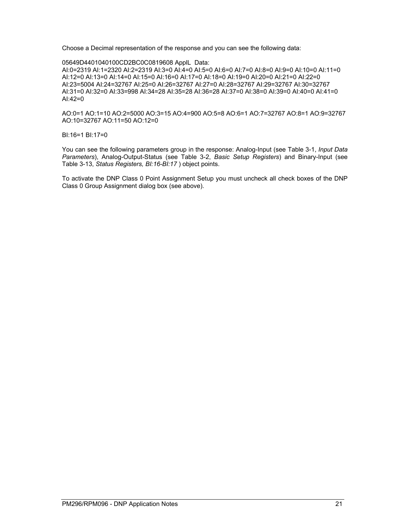Choose a Decimal representation of the response and you can see the following data:

05649D4401040100CD2BC0C0819608 ApplL Data:

AI:0=2319 AI:1=2320 AI:2=2319 AI:3=0 AI:4=0 AI:5=0 AI:6=0 AI:7=0 AI:8=0 AI:9=0 AI:10=0 AI:11=0 AI:12=0 AI:13=0 AI:14=0 AI:15=0 AI:16=0 AI:17=0 AI:18=0 AI:19=0 AI:20=0 AI:21=0 AI:22=0 AI:23=5004 AI:24=32767 AI:25=0 AI:26=32767 AI:27=0 AI:28=32767 AI:29=32767 AI:30=32767 AI:31=0 AI:32=0 AI:33=998 AI:34=28 AI:35=28 AI:36=28 AI:37=0 AI:38=0 AI:39=0 AI:40=0 AI:41=0 AI:42=0

AO:0=1 AO:1=10 AO:2=5000 AO:3=15 AO:4=900 AO:5=8 AO:6=1 AO:7=32767 AO:8=1 AO:9=32767 AO:10=32767 AO:11=50 AO:12=0

BI:16=1 BI:17=0

You can see the following parameters group in the response: Analog-Input (see Table 3-1, *Input Data Parameters*), Analog-Output-Status (see Table 3-2, *Basic Setup Registers*) and Binary-Input (see Table 3-13, *Status Registers, BI:16-BI:17* ) object points.

To activate the DNP Class 0 Point Assignment Setup you must uncheck all check boxes of the DNP Class 0 Group Assignment dialog box (see above).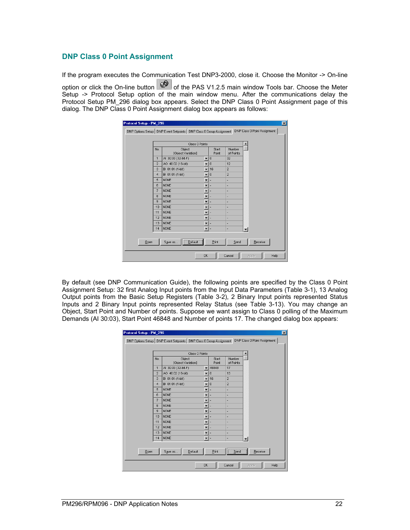#### <span id="page-21-0"></span>**DNP Class 0 Point Assignment**

If the program executes the Communication Test DNP3-2000, close it. Choose the Monitor -> On-line option or click the On-line button  $\left|\mathcal{Q}^{\bullet}\right|$  of the PAS V1.2.5 main window Tools bar. Choose the Meter Setup -> Protocol Setup option of the main window menu. After the communications delay the Protocol Setup PM\_296 dialog box appears. Select the DNP Class 0 Point Assignment page of this dialog. The DNP Class 0 Point Assignment dialog box appears as follows:

|      |                | Class 0 Points               |                          |                |                     |                |
|------|----------------|------------------------------|--------------------------|----------------|---------------------|----------------|
|      | No.            | Object<br>[Object:Variation] |                          | Start<br>Point | Number<br>of Points |                |
|      | $\overline{1}$ | AI 30:03 (32-bit-F)          | $\mathbf{v}$ 0           |                | 32                  |                |
|      | $\overline{2}$ | AO 40:02 (16-bit)            | $\mathbf{v}$ 0           |                | 12                  |                |
|      | 3              | BI 01:01 (1-bit)             |                          | $-16$          | $\overline{a}$      |                |
|      | $\overline{4}$ | BI 01:01 (1-bit)             | $\overline{\phantom{a}}$ | l o            | $\overline{2}$      |                |
|      | 5              | <b>NONE</b>                  | $\overline{\phantom{0}}$ |                | ۳                   |                |
|      | 6              | <b>NONE</b>                  | $\overline{\phantom{a}}$ | ×              | ۰                   |                |
|      | $\overline{7}$ | <b>NONE</b>                  | $\overline{\phantom{a}}$ | ı.             | ٠                   |                |
|      | 8              | <b>NONE</b>                  | $\overline{\phantom{0}}$ |                | ۰                   |                |
|      | $\overline{9}$ | <b>NONE</b>                  | T                        |                | ٠                   |                |
|      | 10             | <b>NONE</b>                  | $\overline{\phantom{0}}$ |                | ×                   |                |
|      | 11             | <b>NONE</b>                  | $\overline{\phantom{a}}$ |                | ٠                   |                |
|      | 12             | <b>NONE</b>                  | $\overline{\phantom{a}}$ |                | ×.                  |                |
|      | 13             | <b>NONE</b>                  | v                        | ٠              | ٠                   |                |
|      | 14             | <b>NONE</b>                  | $\overline{\phantom{a}}$ | ×              | -                   | $\blacksquare$ |
|      |                |                              |                          |                |                     |                |
| Qpen |                | Save as<br>Default           |                          | Print          | Send                | Receive        |

By default (see DNP Communication Guide), the following points are specified by the Class 0 Point Assignment Setup: 32 first Analog Input points from the Input Data Parameters (Table 3-1), 13 Analog Output points from the Basic Setup Registers (Table 3-2), 2 Binary Input points represented Status Inputs and 2 Binary Input points represented Relay Status (see Table 3-13). You may change an Object, Start Point and Number of points. Suppose we want assign to Class 0 polling of the Maximum Demands (AI 30:03), Start Point 46848 and Number of points 17. The changed dialog box appears:

|      |                | Class 0 Points               |                          |                |                        |         |
|------|----------------|------------------------------|--------------------------|----------------|------------------------|---------|
|      | No.            | Object<br>[Object:Variation] |                          | Start<br>Point | Number<br>of Points    |         |
|      | 1              | AI 30:03 (32-bit-F)          | $\overline{\phantom{a}}$ | 46848          | 17                     |         |
|      | $\overline{2}$ | AO 40:02 (16-bit)            | $\overline{\phantom{a}}$ | $\theta$       | 13                     |         |
|      | 3              | BI 01:01 (1-bit)             | $\overline{\phantom{a}}$ | 16             | $\overline{2}$         |         |
|      | $\overline{4}$ | BI 01:01 (1-bit)             | $\overline{\phantom{a}}$ | $\theta$       | $\overline{2}$         |         |
|      | 5              | <b>NONE</b>                  | $\overline{\phantom{a}}$ |                | ×                      |         |
|      | 6              | <b>NONE</b>                  | $\overline{\phantom{a}}$ |                | ٠                      |         |
|      | $\overline{7}$ | <b>NONE</b>                  | ۰                        |                | ×                      |         |
|      | 8              | <b>NONE</b>                  | $\overline{\phantom{a}}$ |                | ٠                      |         |
|      | 9              | <b>NONE</b>                  | $\overline{\phantom{a}}$ |                | ×                      |         |
|      | 10             | <b>NONE</b>                  | $\overline{\phantom{a}}$ |                | ÷                      |         |
|      | 11             | <b>NONE</b>                  | $\overline{\phantom{a}}$ |                | ٠                      |         |
|      | 12             | <b>NONE</b>                  | $\overline{\phantom{a}}$ |                | ×,                     |         |
|      | 13             | <b>NONE</b>                  | $\blacktriangledown$     |                | ٠                      |         |
|      | 14             | <b>NONE</b>                  | $\overline{\phantom{a}}$ | ×              | ÷,                     | $\cdot$ |
| Qpen |                | Default<br>Save as           |                          | Print          | --------------<br>Send | Receive |